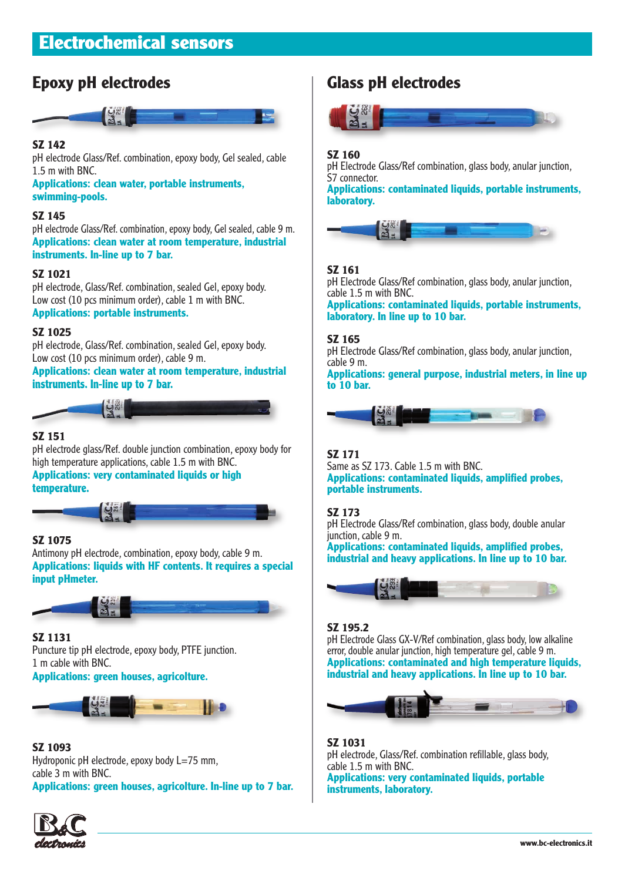# **Epoxy pH electrodes**



# **SZ 142**

pH electrode Glass/Ref. combination, epoxy body, Gel sealed, cable 1.5 m with BNC.

**Applications: clean water, portable instruments, swimming-pools.**

# **SZ 145**

pH electrode Glass/Ref. combination, epoxy body, Gel sealed, cable 9 m. **Applications: clean water at room temperature, industrial instruments. In-line up to 7 bar.** 

## **SZ 1021**

pH electrode, Glass/Ref. combination, sealed Gel, epoxy body. Low cost (10 pcs minimum order), cable 1 m with BNC. **Applications: portable instruments.**

## **SZ 1025**

pH electrode, Glass/Ref. combination, sealed Gel, epoxy body. Low cost (10 pcs minimum order), cable 9 m.

**Applications: clean water at room temperature, industrial instruments. In-line up to 7 bar.**



# **SZ 151**

pH electrode glass/Ref. double junction combination, epoxy body for high temperature applications, cable 1.5 m with BNC.

**Applications: very contaminated liquids or high temperature.**

# **SZ 1075**

Antimony pH electrode, combination, epoxy body, cable 9 m. **Applications: liquids with HF contents. It requires a special input pHmeter.**



# **SZ 1131**

Puncture tip pH electrode, epoxy body, PTFE junction. 1 m cable with BNC.

**Applications: green houses, agricolture.**



#### **SZ 1093**

Hydroponic pH electrode, epoxy body L=75 mm, cable 3 m with BNC. **Applications: green houses, agricolture. In-line up to 7 bar.** **Glass pH electrodes**



# **SZ 160**

pH Electrode Glass/Ref combination, glass body, anular junction, S7 connector.

**Applications: contaminated liquids, portable instruments, laboratory.**



# **SZ 161**

pH Electrode Glass/Ref combination, glass body, anular junction, cable 1.5 m with BNC.

**Applications: contaminated liquids, portable instruments, laboratory. In line up to 10 bar.**

## **SZ 165**

pH Electrode Glass/Ref combination, glass body, anular junction, cable 9 m.

**Applications: general purpose, industrial meters, in line up to 10 bar.**



# **SZ 171**

Same as SZ 173. Cable 1.5 m with BNC. **Applications: contaminated liquids, amplified probes, portable instruments.**

# **SZ 173**

pH Electrode Glass/Ref combination, glass body, double anular junction, cable 9 m.

**Applications: contaminated liquids, amplified probes, industrial and heavy applications. In line up to 10 bar.**



# **SZ 195.2**

pH Electrode Glass GX-V/Ref combination, glass body, low alkaline error, double anular junction, high temperature gel, cable 9 m. **Applications: contaminated and high temperature liquids, industrial and heavy applications. In line up to 10 bar.**



# **SZ 1031**

pH electrode, Glass/Ref. combination refillable, glass body, cable 1.5 m with BNC. **Applications: very contaminated liquids, portable instruments, laboratory.**

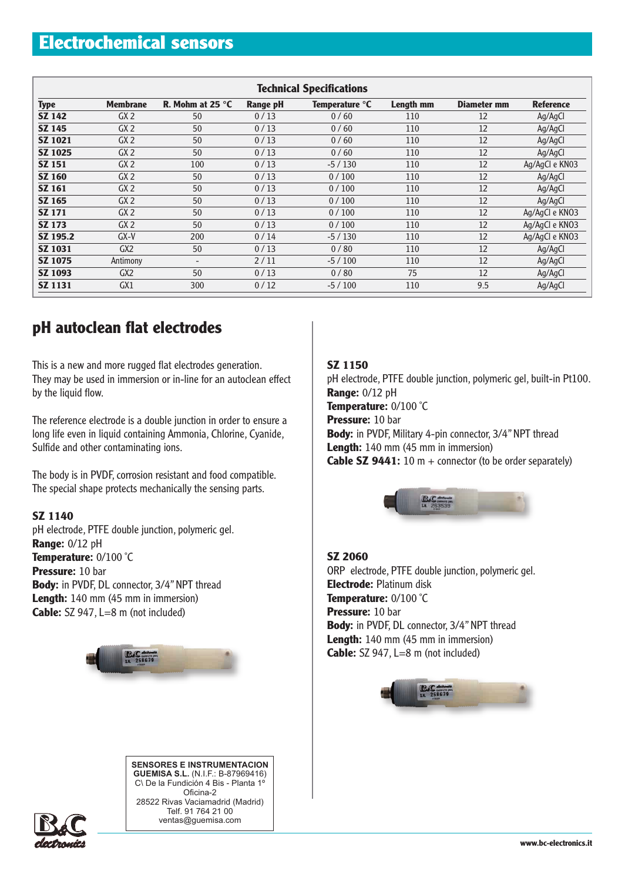# **Electrochemical sensors**

| <b>Technical Specifications</b> |                 |                          |          |                |                  |                    |                  |  |  |
|---------------------------------|-----------------|--------------------------|----------|----------------|------------------|--------------------|------------------|--|--|
| <b>Type</b>                     | <b>Membrane</b> | R. Mohm at 25 °C         | Range pH | Temperature °C | <b>Length mm</b> | <b>Diameter mm</b> | <b>Reference</b> |  |  |
| <b>SZ 142</b>                   | GX2             | 50                       | 0/13     | 0/60           | 110              | 12                 | Ag/AgCl          |  |  |
| <b>SZ 145</b>                   | GX2             | 50                       | 0/13     | 0/60           | 110              | 12                 | Ag/AgCl          |  |  |
| <b>SZ 1021</b>                  | GX2             | 50                       | 0/13     | 0/60           | 110              | 12                 | Ag/AgCl          |  |  |
| <b>SZ 1025</b>                  | GX2             | 50                       | 0/13     | 0/60           | 110              | 12                 | Ag/AgCl          |  |  |
| <b>SZ 151</b>                   | GX2             | 100                      | 0/13     | $-5/130$       | 110              | 12                 | Ag/AgCl e KN03   |  |  |
| <b>SZ 160</b>                   | GX2             | 50                       | 0/13     | 0/100          | 110              | 12                 | Ag/AgCl          |  |  |
| <b>SZ 161</b>                   | GX2             | 50                       | 0/13     | 0/100          | 110              | 12                 | Ag/AgCl          |  |  |
| SZ 165                          | GX2             | 50                       | 0/13     | 0/100          | 110              | 12                 | Ag/AgCl          |  |  |
| <b>SZ 171</b>                   | GX2             | 50                       | 0/13     | 0/100          | 110              | 12                 | Ag/AgCl e KNO3   |  |  |
| <b>SZ 173</b>                   | GX2             | 50                       | 0/13     | 0/100          | 110              | 12                 | Ag/AgCl e KNO3   |  |  |
| SZ 195.2                        | $GX-Y$          | 200                      | 0/14     | $-5/130$       | 110              | 12                 | Ag/AgCl e KNO3   |  |  |
| SZ 1031                         | GX2             | 50                       | 0/13     | 0/80           | 110              | 12                 | Ag/AgCl          |  |  |
| <b>SZ 1075</b>                  | Antimony        | $\overline{\phantom{a}}$ | 2/11     | $-5/100$       | 110              | 12                 | Ag/AgCl          |  |  |
| <b>SZ 1093</b>                  | GX2             | 50                       | 0/13     | 0/80           | 75               | 12                 | Ag/AgCl          |  |  |
| <b>SZ 1131</b>                  | GX1             | 300                      | 0/12     | $-5/100$       | 110              | 9.5                | Ag/AgCl          |  |  |

# **pH autoclean flat electrodes**

This is a new and more rugged flat electrodes generation. They may be used in immersion or in-line for an autoclean effect by the liquid flow.

The reference electrode is a double junction in order to ensure a long life even in liquid containing Ammonia, Chlorine, Cyanide, Sulfide and other contaminating ions.

The body is in PVDF, corrosion resistant and food compatible. The special shape protects mechanically the sensing parts.

# **SZ 1140**

pH electrode, PTFE double junction, polymeric gel. **Range:** 0/12 pH **Temperature:** 0/100 ˚C **Pressure:** 10 bar **Body:** in PVDF, DL connector, 3/4" NPT thread Length: 140 mm (45 mm in immersion) **Cable:** SZ 947, L=8 m (not included)





# **SZ 1150**

pH electrode, PTFE double junction, polymeric gel, built-in Pt100. **Range:** 0/12 pH **Temperature:** 0/100 ˚C **Pressure:** 10 bar **Body:** in PVDF, Military 4-pin connector, 3/4" NPT thread Length: 140 mm (45 mm in immersion) **Cable SZ 9441:** 10 m + connector (to be order separately)



# **SZ 2060**

ORP electrode, PTFE double junction, polymeric gel. **Electrode:** Platinum disk **Temperature:** 0/100 ˚C **Pressure:** 10 bar **Body:** in PVDF, DL connector, 3/4" NPT thread Length: 140 mm (45 mm in immersion) **Cable:** SZ 947, L=8 m (not included)

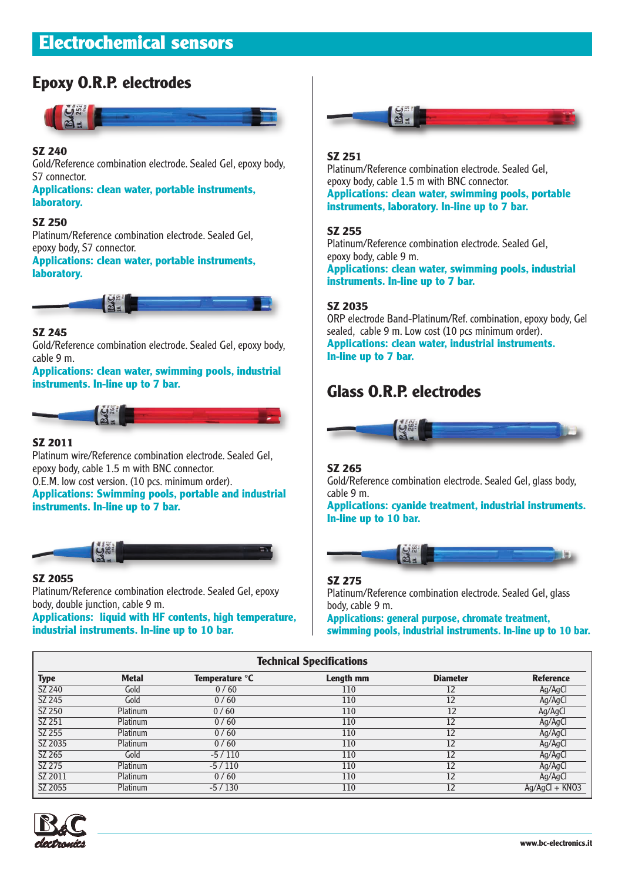# **Electrochemical sensors**

# **Epoxy O.R.P. electrodes**



# **SZ 240**

Gold/Reference combination electrode. Sealed Gel, epoxy body, S7 connector.

**Applications: clean water, portable instruments, laboratory.**

## **SZ 250**

Platinum/Reference combination electrode. Sealed Gel, epoxy body, S7 connector.

**Applications: clean water, portable instruments, laboratory.**



# **SZ 245**

Gold/Reference combination electrode. Sealed Gel, epoxy body, cable 9 m.

**Applications: clean water, swimming pools, industrial instruments. In-line up to 7 bar.** 



## **SZ 2011**

Platinum wire/Reference combination electrode. Sealed Gel, epoxy body, cable 1.5 m with BNC connector. O.E.M. low cost version. (10 pcs. minimum order). **Applications: Swimming pools, portable and industrial**

**instruments. In-line up to 7 bar.**



## **SZ 2055**

Platinum/Reference combination electrode. Sealed Gel, epoxy body, double junction, cable 9 m.

**Applications: liquid with HF contents, high temperature, industrial instruments. In-line up to 10 bar.**



# **SZ 251**

Platinum/Reference combination electrode. Sealed Gel, epoxy body, cable 1.5 m with BNC connector. **Applications: clean water, swimming pools, portable instruments, laboratory. In-line up to 7 bar.**

#### **SZ 255**

Platinum/Reference combination electrode. Sealed Gel, epoxy body, cable 9 m. **Applications: clean water, swimming pools, industrial**

**instruments. In-line up to 7 bar.**

#### **SZ 2035**

ORP electrode Band-Platinum/Ref. combination, epoxy body, Gel sealed, cable 9 m. Low cost (10 pcs minimum order). **Applications: clean water, industrial instruments. In-line up to 7 bar.**

# **Glass O.R.P. electrodes**



## **SZ 265**

Gold/Reference combination electrode. Sealed Gel, glass body, cable 9 m.

**Applications: cyanide treatment, industrial instruments. In-line up to 10 bar.**



## **SZ 275**

Platinum/Reference combination electrode. Sealed Gel, glass body, cable 9 m.

**Applications: general purpose, chromate treatment, swimming pools, industrial instruments. In-line up to 10 bar.**

| <b>Technical Specifications</b> |              |                |           |                 |                  |  |  |  |  |
|---------------------------------|--------------|----------------|-----------|-----------------|------------------|--|--|--|--|
| <b>Type</b>                     | <b>Metal</b> | Temperature °C | Length mm | <b>Diameter</b> | <b>Reference</b> |  |  |  |  |
| SZ 240                          | Gold         | 0/60           | 110       | 12              | Ag/AgCl          |  |  |  |  |
| SZ 245                          | Gold         | 0/60           | 110       | 12              | Ag/AgCl          |  |  |  |  |
| SZ 250                          | Platinum     | 0/60           | 110       | 12              | Ag/AgCl          |  |  |  |  |
| SZ 251                          | Platinum     | 0/60           | 110       | 12              | Ag/AgCl          |  |  |  |  |
| SZ 255                          | Platinum     | 0/60           | 110       | 12              | Ag/AgCl          |  |  |  |  |
| SZ 2035                         | Platinum     | 0/60           | 110       | 12              | Ag/AgCl          |  |  |  |  |
| SZ 265                          | Gold         | $-5/110$       | 110       | 12              | Ag/AgCl          |  |  |  |  |
| SZ 275                          | Platinum     | $-5/110$       | 110       | 12              | Ag/AgCl          |  |  |  |  |
| SZ 2011                         | Platinum     | 0/60           | 110       | 12              | Ag/AgCl          |  |  |  |  |
| SZ 2055                         | Platinum     | $-5/130$       | 110       | 12              | $Ag/AgCl + KNO3$ |  |  |  |  |